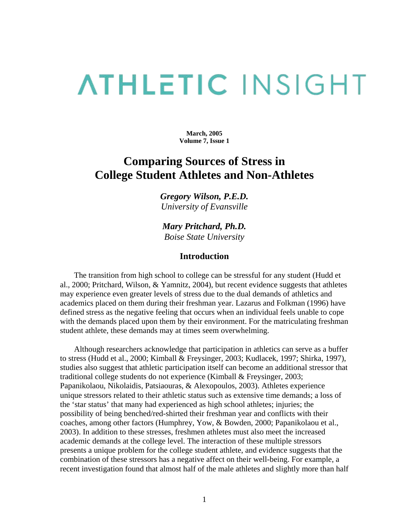# **ATHLETIC INSIGHT**

**March, 2005 Volume 7, Issue 1**

# **Comparing Sources of Stress in College Student Athletes and Non-Athletes**

*Gregory Wilson, P.E.D. University of Evansville* 

*Mary Pritchard, Ph.D. Boise State University* 

# **Introduction**

 The transition from high school to college can be stressful for any student (Hudd et al., 2000; Pritchard, Wilson, & Yamnitz, 2004), but recent evidence suggests that athletes may experience even greater levels of stress due to the dual demands of athletics and academics placed on them during their freshman year. Lazarus and Folkman (1996) have defined stress as the negative feeling that occurs when an individual feels unable to cope with the demands placed upon them by their environment. For the matriculating freshman student athlete, these demands may at times seem overwhelming.

 Although researchers acknowledge that participation in athletics can serve as a buffer to stress (Hudd et al., 2000; Kimball & Freysinger, 2003; Kudlacek, 1997; Shirka, 1997), studies also suggest that athletic participation itself can become an additional stressor that traditional college students do not experience (Kimball & Freysinger, 2003; Papanikolaou, Nikolaidis, Patsiaouras, & Alexopoulos, 2003). Athletes experience unique stressors related to their athletic status such as extensive time demands; a loss of the 'star status' that many had experienced as high school athletes; injuries; the possibility of being benched/red-shirted their freshman year and conflicts with their coaches, among other factors (Humphrey, Yow, & Bowden, 2000; Papanikolaou et al., 2003). In addition to these stresses, freshmen athletes must also meet the increased academic demands at the college level. The interaction of these multiple stressors presents a unique problem for the college student athlete, and evidence suggests that the combination of these stressors has a negative affect on their well-being. For example, a recent investigation found that almost half of the male athletes and slightly more than half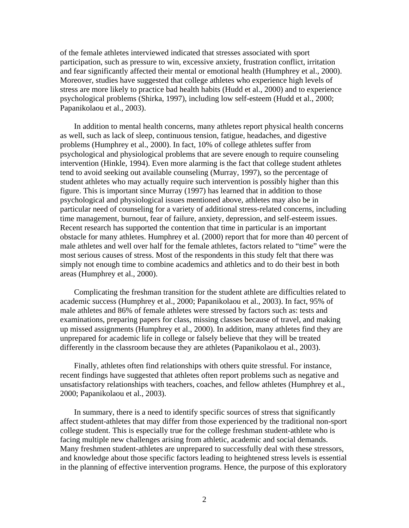of the female athletes interviewed indicated that stresses associated with sport participation, such as pressure to win, excessive anxiety, frustration conflict, irritation and fear significantly affected their mental or emotional health (Humphrey et al., 2000). Moreover, studies have suggested that college athletes who experience high levels of stress are more likely to practice bad health habits (Hudd et al., 2000) and to experience psychological problems (Shirka, 1997), including low self-esteem (Hudd et al., 2000; Papanikolaou et al., 2003).

 In addition to mental health concerns, many athletes report physical health concerns as well, such as lack of sleep, continuous tension, fatigue, headaches, and digestive problems (Humphrey et al., 2000). In fact, 10% of college athletes suffer from psychological and physiological problems that are severe enough to require counseling intervention (Hinkle, 1994). Even more alarming is the fact that college student athletes tend to avoid seeking out available counseling (Murray, 1997), so the percentage of student athletes who may actually require such intervention is possibly higher than this figure. This is important since Murray (1997) has learned that in addition to those psychological and physiological issues mentioned above, athletes may also be in particular need of counseling for a variety of additional stress-related concerns, including time management, burnout, fear of failure, anxiety, depression, and self-esteem issues. Recent research has supported the contention that time in particular is an important obstacle for many athletes. Humphrey et al. (2000) report that for more than 40 percent of male athletes and well over half for the female athletes, factors related to "time" were the most serious causes of stress. Most of the respondents in this study felt that there was simply not enough time to combine academics and athletics and to do their best in both areas (Humphrey et al., 2000).

 Complicating the freshman transition for the student athlete are difficulties related to academic success (Humphrey et al., 2000; Papanikolaou et al., 2003). In fact, 95% of male athletes and 86% of female athletes were stressed by factors such as: tests and examinations, preparing papers for class, missing classes because of travel, and making up missed assignments (Humphrey et al., 2000). In addition, many athletes find they are unprepared for academic life in college or falsely believe that they will be treated differently in the classroom because they are athletes (Papanikolaou et al., 2003).

 Finally, athletes often find relationships with others quite stressful. For instance, recent findings have suggested that athletes often report problems such as negative and unsatisfactory relationships with teachers, coaches, and fellow athletes (Humphrey et al., 2000; Papanikolaou et al., 2003).

 In summary, there is a need to identify specific sources of stress that significantly affect student-athletes that may differ from those experienced by the traditional non-sport college student. This is especially true for the college freshman student-athlete who is facing multiple new challenges arising from athletic, academic and social demands. Many freshmen student-athletes are unprepared to successfully deal with these stressors, and knowledge about those specific factors leading to heightened stress levels is essential in the planning of effective intervention programs. Hence, the purpose of this exploratory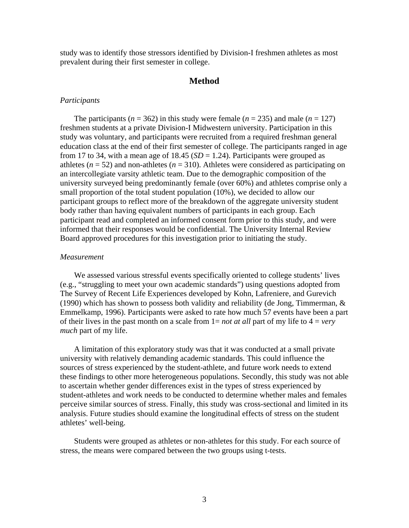study was to identify those stressors identified by Division-I freshmen athletes as most prevalent during their first semester in college.

# **Method**

#### *Participants*

The participants ( $n = 362$ ) in this study were female ( $n = 235$ ) and male ( $n = 127$ ) freshmen students at a private Division-I Midwestern university. Participation in this study was voluntary, and participants were recruited from a required freshman general education class at the end of their first semester of college. The participants ranged in age from 17 to 34, with a mean age of  $18.45$  ( $SD = 1.24$ ). Participants were grouped as athletes ( $n = 52$ ) and non-athletes ( $n = 310$ ). Athletes were considered as participating on an intercollegiate varsity athletic team. Due to the demographic composition of the university surveyed being predominantly female (over 60%) and athletes comprise only a small proportion of the total student population (10%), we decided to allow our participant groups to reflect more of the breakdown of the aggregate university student body rather than having equivalent numbers of participants in each group. Each participant read and completed an informed consent form prior to this study, and were informed that their responses would be confidential. The University Internal Review Board approved procedures for this investigation prior to initiating the study.

# *Measurement*

 We assessed various stressful events specifically oriented to college students' lives (e.g., "struggling to meet your own academic standards") using questions adopted from The Survey of Recent Life Experiences developed by Kohn, Lafreniere, and Gurevich (1990) which has shown to possess both validity and reliability (de Jong, Timmerman,  $\&$ Emmelkamp, 1996). Participants were asked to rate how much 57 events have been a part of their lives in the past month on a scale from 1= *not at all* part of my life to 4 = *very much* part of my life.

 A limitation of this exploratory study was that it was conducted at a small private university with relatively demanding academic standards. This could influence the sources of stress experienced by the student-athlete, and future work needs to extend these findings to other more heterogeneous populations. Secondly, this study was not able to ascertain whether gender differences exist in the types of stress experienced by student-athletes and work needs to be conducted to determine whether males and females perceive similar sources of stress. Finally, this study was cross-sectional and limited in its analysis. Future studies should examine the longitudinal effects of stress on the student athletes' well-being.

 Students were grouped as athletes or non-athletes for this study. For each source of stress, the means were compared between the two groups using t-tests.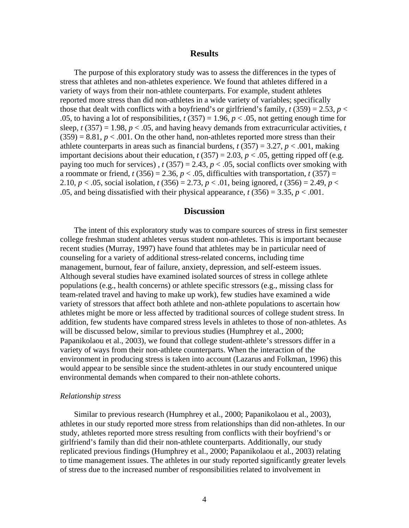# **Results**

 The purpose of this exploratory study was to assess the differences in the types of stress that athletes and non-athletes experience. We found that athletes differed in a variety of ways from their non-athlete counterparts. For example, student athletes reported more stress than did non-athletes in a wide variety of variables; specifically those that dealt with conflicts with a boyfriend's or girlfriend's family,  $t(359) = 2.53$ ,  $p <$ .05, to having a lot of responsibilities,  $t(357) = 1.96$ ,  $p < .05$ , not getting enough time for sleep,  $t(357) = 1.98$ ,  $p < .05$ , and having heavy demands from extracurricular activities,  $t$  $(359) = 8.81, p < .001$ . On the other hand, non-athletes reported more stress than their athlete counterparts in areas such as financial burdens,  $t(357) = 3.27$ ,  $p < .001$ , making important decisions about their education,  $t(357) = 2.03$ ,  $p < .05$ , getting ripped off (e.g. paying too much for services),  $t(357) = 2.43$ ,  $p < .05$ , social conflicts over smoking with a roommate or friend,  $t(356) = 2.36$ ,  $p < .05$ , difficulties with transportation,  $t(357) =$ 2.10,  $p < .05$ , social isolation,  $t(356) = 2.73$ ,  $p < .01$ , being ignored,  $t(356) = 2.49$ ,  $p < .01$ .05, and being dissatisfied with their physical appearance,  $t(356) = 3.35$ ,  $p < .001$ .

# **Discussion**

 The intent of this exploratory study was to compare sources of stress in first semester college freshman student athletes versus student non-athletes. This is important because recent studies (Murray, 1997) have found that athletes may be in particular need of counseling for a variety of additional stress-related concerns, including time management, burnout, fear of failure, anxiety, depression, and self-esteem issues. Although several studies have examined isolated sources of stress in college athlete populations (e.g., health concerns) or athlete specific stressors (e.g., missing class for team-related travel and having to make up work), few studies have examined a wide variety of stressors that affect both athlete and non-athlete populations to ascertain how athletes might be more or less affected by traditional sources of college student stress. In addition, few students have compared stress levels in athletes to those of non-athletes. As will be discussed below, similar to previous studies (Humphrey et al., 2000; Papanikolaou et al., 2003), we found that college student-athlete's stressors differ in a variety of ways from their non-athlete counterparts. When the interaction of the environment in producing stress is taken into account (Lazarus and Folkman, 1996) this would appear to be sensible since the student-athletes in our study encountered unique environmental demands when compared to their non-athlete cohorts.

#### *Relationship stress*

 Similar to previous research (Humphrey et al., 2000; Papanikolaou et al., 2003), athletes in our study reported more stress from relationships than did non-athletes. In our study, athletes reported more stress resulting from conflicts with their boyfriend's or girlfriend's family than did their non-athlete counterparts. Additionally, our study replicated previous findings (Humphrey et al., 2000; Papanikolaou et al., 2003) relating to time management issues. The athletes in our study reported significantly greater levels of stress due to the increased number of responsibilities related to involvement in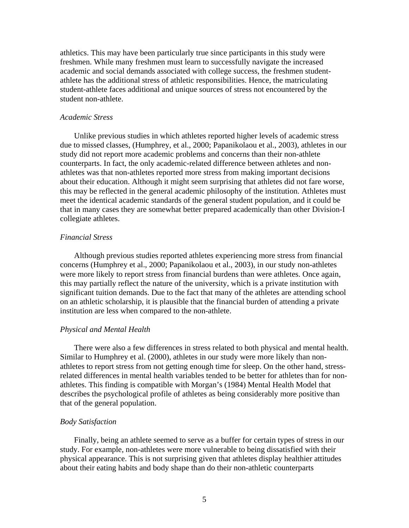athletics. This may have been particularly true since participants in this study were freshmen. While many freshmen must learn to successfully navigate the increased academic and social demands associated with college success, the freshmen studentathlete has the additional stress of athletic responsibilities. Hence, the matriculating student-athlete faces additional and unique sources of stress not encountered by the student non-athlete.

#### *Academic Stress*

 Unlike previous studies in which athletes reported higher levels of academic stress due to missed classes, (Humphrey, et al., 2000; Papanikolaou et al., 2003), athletes in our study did not report more academic problems and concerns than their non-athlete counterparts. In fact, the only academic-related difference between athletes and nonathletes was that non-athletes reported more stress from making important decisions about their education. Although it might seem surprising that athletes did not fare worse, this may be reflected in the general academic philosophy of the institution. Athletes must meet the identical academic standards of the general student population, and it could be that in many cases they are somewhat better prepared academically than other Division-I collegiate athletes.

## *Financial Stress*

 Although previous studies reported athletes experiencing more stress from financial concerns (Humphrey et al., 2000; Papanikolaou et al., 2003), in our study non-athletes were more likely to report stress from financial burdens than were athletes. Once again, this may partially reflect the nature of the university, which is a private institution with significant tuition demands. Due to the fact that many of the athletes are attending school on an athletic scholarship, it is plausible that the financial burden of attending a private institution are less when compared to the non-athlete.

# *Physical and Mental Health*

 There were also a few differences in stress related to both physical and mental health. Similar to Humphrey et al. (2000), athletes in our study were more likely than nonathletes to report stress from not getting enough time for sleep. On the other hand, stressrelated differences in mental health variables tended to be better for athletes than for nonathletes. This finding is compatible with Morgan's (1984) Mental Health Model that describes the psychological profile of athletes as being considerably more positive than that of the general population.

# *Body Satisfaction*

 Finally, being an athlete seemed to serve as a buffer for certain types of stress in our study. For example, non-athletes were more vulnerable to being dissatisfied with their physical appearance. This is not surprising given that athletes display healthier attitudes about their eating habits and body shape than do their non-athletic counterparts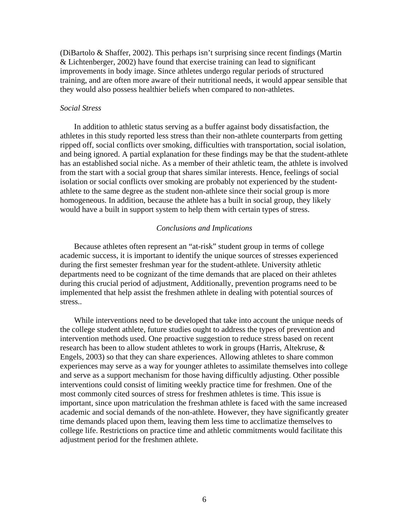(DiBartolo & Shaffer, 2002). This perhaps isn't surprising since recent findings (Martin & Lichtenberger, 2002) have found that exercise training can lead to significant improvements in body image. Since athletes undergo regular periods of structured training, and are often more aware of their nutritional needs, it would appear sensible that they would also possess healthier beliefs when compared to non-athletes.

# *Social Stress*

 In addition to athletic status serving as a buffer against body dissatisfaction, the athletes in this study reported less stress than their non-athlete counterparts from getting ripped off, social conflicts over smoking, difficulties with transportation, social isolation, and being ignored. A partial explanation for these findings may be that the student-athlete has an established social niche. As a member of their athletic team, the athlete is involved from the start with a social group that shares similar interests. Hence, feelings of social isolation or social conflicts over smoking are probably not experienced by the studentathlete to the same degree as the student non-athlete since their social group is more homogeneous. In addition, because the athlete has a built in social group, they likely would have a built in support system to help them with certain types of stress.

## *Conclusions and Implications*

 Because athletes often represent an "at-risk" student group in terms of college academic success, it is important to identify the unique sources of stresses experienced during the first semester freshman year for the student-athlete. University athletic departments need to be cognizant of the time demands that are placed on their athletes during this crucial period of adjustment, Additionally, prevention programs need to be implemented that help assist the freshmen athlete in dealing with potential sources of stress..

 While interventions need to be developed that take into account the unique needs of the college student athlete, future studies ought to address the types of prevention and intervention methods used. One proactive suggestion to reduce stress based on recent research has been to allow student athletes to work in groups (Harris, Altekruse, & Engels, 2003) so that they can share experiences. Allowing athletes to share common experiences may serve as a way for younger athletes to assimilate themselves into college and serve as a support mechanism for those having difficultly adjusting. Other possible interventions could consist of limiting weekly practice time for freshmen. One of the most commonly cited sources of stress for freshmen athletes is time. This issue is important, since upon matriculation the freshman athlete is faced with the same increased academic and social demands of the non-athlete. However, they have significantly greater time demands placed upon them, leaving them less time to acclimatize themselves to college life. Restrictions on practice time and athletic commitments would facilitate this adjustment period for the freshmen athlete.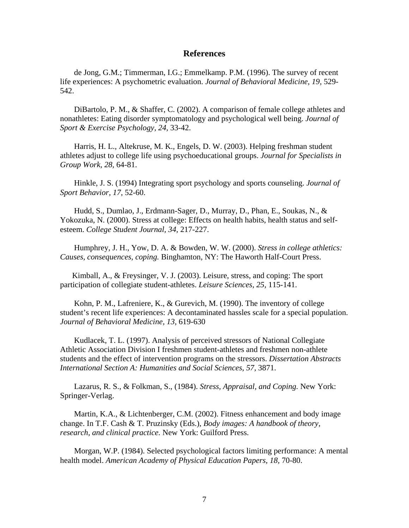# **References**

 de Jong, G.M.; Timmerman, I.G.; Emmelkamp. P.M. (1996). The survey of recent life experiences: A psychometric evaluation. *Journal of Behavioral Medicine, 19,* 529- 542.

 DiBartolo, P. M., & Shaffer, C. (2002). A comparison of female college athletes and nonathletes: Eating disorder symptomatology and psychological well being. *Journal of Sport & Exercise Psychology, 24,* 33-42.

 Harris, H. L., Altekruse, M. K., Engels, D. W. (2003). Helping freshman student athletes adjust to college life using psychoeducational groups. *Journal for Specialists in Group Work, 28,* 64-81.

 Hinkle, J. S. (1994) Integrating sport psychology and sports counseling. *Journal of Sport Behavior, 17,* 52-60.

 Hudd, S., Dumlao, J., Erdmann-Sager, D., Murray, D., Phan, E., Soukas, N., & Yokozuka, N. (2000). Stress at college: Effects on health habits, health status and selfesteem. *College Student Journal, 34,* 217-227.

 Humphrey, J. H., Yow, D. A. & Bowden, W. W. (2000). *Stress in college athletics: Causes, consequences, coping.* Binghamton, NY: The Haworth Half-Court Press.

 Kimball, A., & Freysinger, V. J. (2003). Leisure, stress, and coping: The sport participation of collegiate student-athletes. *Leisure Sciences, 25,* 115-141.

 Kohn, P. M., Lafreniere, K., & Gurevich, M. (1990). The inventory of college student's recent life experiences: A decontaminated hassles scale for a special population. *Journal of Behavioral Medicine, 13,* 619-630

 Kudlacek, T. L. (1997). Analysis of perceived stressors of National Collegiate Athletic Association Division I freshmen student-athletes and freshmen non-athlete students and the effect of intervention programs on the stressors. *Dissertation Abstracts International Section A: Humanities and Social Sciences, 57,* 3871.

 Lazarus, R. S., & Folkman, S., (1984). *Stress, Appraisal, and Coping.* New York: Springer-Verlag.

 Martin, K.A., & Lichtenberger, C.M. (2002). Fitness enhancement and body image change. In T.F. Cash & T. Pruzinsky (Eds.), *Body images: A handbook of theory, research, and clinical practice.* New York: Guilford Press.

 Morgan, W.P. (1984). Selected psychological factors limiting performance: A mental health model. *American Academy of Physical Education Papers, 18, 70-80.*